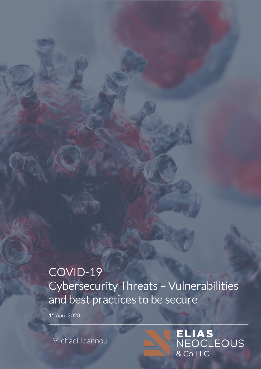# COVID-19 Cybersecurity Threats – Vulnerabilities and best practices to be secure

15 April 2020

Michael Ioannou

ELIAS<br>NEOCLEOUS  $\overline{\text{200}}$  Co LLC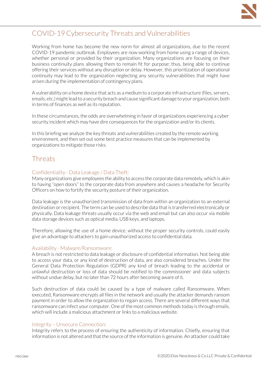

# COVID-19 Cybersecurity Threats and Vulnerabilities

Working from home has become the new norm for almost all organizations, due to the recent COVID-19 pandemic outbreak. Employees are now working from home using a range of devices, whether personal or provided by their organization. Many organizations are focusing on their business continuity plans allowing them to remain fit for purpose; thus, being able to continue offering their services without any disruption or delay. However, this prioritization of operational continuity may lead to the organization neglecting any security vulnerabilities that might have arisen during the implementation of contingency plans.

A vulnerability on a home device that acts as a medium to a corporate infrastructure (files, servers, emails, etc.)might lead to a security breach and cause significant damage to your organization, both in terms of finances as well as its reputation.

In these circumstances, the odds are overwhelming in favor of organizations experiencing a cyber security incident which may have dire consequences for the organization and/or its clients.

In this briefing we analyze the key threats and vulnerabilities created by the remote working environment, and then set out some best practice measures that can be implemented by organizations to mitigate those risks.

# **Threats**

#### Confidentiality - Data Leakage / Data Theft:

Many organizations give employees the ability to access the corporate data remotely, which is akin to having "open doors" to the corporate data from anywhere and causes a headache for Security Officers on how to fortify the security posture of their organization.

Data leakage is the unauthorized transmission of data from within an organization to an external destination or recipient. The term can be used to describe data that is transferred electronically or physically. Data leakage threats usually occur via the web and email but can also occur via mobile data storage devices such as optical media, USB keys, and laptops.

Therefore, allowing the use of a home device, without the proper security controls, could easily give an advantage to attackers to gain unauthorized access to confidential data.

#### Availability - Malware/Ransomware:

A breach is not restricted to data leakage or disclosure of confidential information. Not being able to access your data, or any kind of destruction of data, are also considered breaches. Under the General Data Protection Regulation (GDPR) any kind of breach leading to the accidental or unlawful destruction or loss of data should be notified to the commissioner and data subjects without undue delay, but no later than 72 hours after becoming aware of it.

Such destruction of data could be caused by a type of malware called Ransomware. When executed, Ransomware encrypts all files in the network and usually the attacker demands ransom payment in order to allow the organization to regain access. There are several different ways that ransomware can infect your computer. One of the most common methods today is through emails, which will include a malicious attachment or links to a malicious website.

#### Integrity – Unsecure Connection:

Integrity refers to the process of ensuring the authenticity of information. Chiefly, ensuring that information is not altered and that the source of the information is genuine. An attacker could take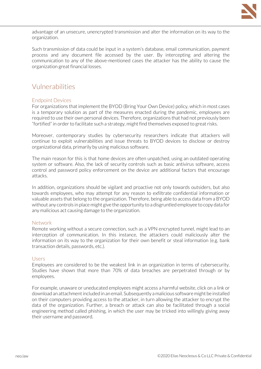

advantage of an unsecure, unencrypted transmission and alter the information on its way to the organization.

Such transmission of data could be input in a system's database, email communication, payment process and any document file accessed by the user. By intercepting and altering the communication to any of the above-mentioned cases the attacker has the ability to cause the organization great financial losses.

### Vulnerabilities

#### Endpoint Devices

For organizations that implement the BYOD (Bring Your Own Device) policy, which in most cases is a temporary solution as part of the measures enacted during the pandemic, employees are required to use their own personal devices. Therefore, organizations that had not previously been "fortified" in order to facilitate such a strategy, might find themselves exposed to great risks.

Moreover, contemporary studies by cybersecurity researchers indicate that attackers will continue to exploit vulnerabilities and issue threats to BYOD devices to disclose or destroy organizational data, primarily by using malicious software.

The main reason for this is that home devices are often unpatched, using an outdated operating system or software. Also, the lack of security controls such as basic antivirus software, access control and password policy enforcement on the device are additional factors that encourage attacks.

In addition, organizations should be vigilant and proactive not only towards outsiders, but also towards employees, who may attempt for any reason to exfiltrate confidential information or valuable assets that belong to the organization. Therefore, being able to access data from a BYOD without any controls in place might give the opportunity to a disgruntled employee to copy data for any malicious act causing damage to the organization.

#### **Network**

Remote working without a secure connection, such as a VPN encrypted tunnel, might lead to an interception of communication. In this instance, the attackers could maliciously alter the information on its way to the organization for their own benefit or steal information (e.g. bank transaction details, passwords, etc.).

#### Users

Employees are considered to be the weakest link in an organization in terms of cybersecurity. Studies have shown that more than 70% of data breaches are perpetrated through or by employees.

For example, unaware or uneducated employees might access a harmful website, click on a link or download an attachment included in an email. Subsequently a malicious software might be installed on their computers providing access to the attacker, in turn allowing the attacker to encrypt the data of the organization. Further, a breach or attack can also be facilitated through a social engineering method called phishing, in which the user may be tricked into willingly giving away their username and password.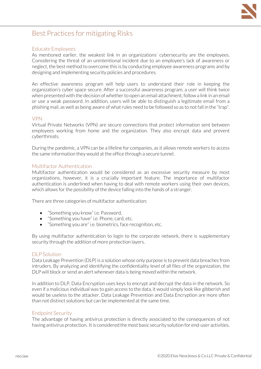

# Best Practices for mitigating Risks

#### Educate Employees

As mentioned earlier, the weakest link in an organizations' cybersecurity are the employees. Considering the threat of an unintentional incident due to an employee's lack of awareness or neglect, the best method to overcome this is by conducting employee awareness programs and by designing and implementing security policies and procedures.

An effective awareness program will help users to understand their role in keeping the organization's cyber space secure. After a successful awareness program, a user will think twice when presented with the decision of whether to open an email attachment, follow a link in an email or use a weak password. In addition, users will be able to distinguish a legitimate email from a phishing mail, as well as being aware of what rules need to be followed so as to not fall in the "trap".

#### VPN

Virtual Private Networks (VPN) are secure connections that protect information sent between employees working from home and the organization. They also encrypt data and prevent cyberthreats.

During the pandemic, a VPN can be a lifeline for companies, as it allows remote workers to access the same information they would at the office through a secure tunnel.

#### Multifactor Authentication

Multifactor authentication would be considered as an excessive security measure by most organizations, however, it is a crucially important feature. The importance of multifactor authentication is underlined when having to deal with remote workers using their own devices, which allows for the possibility of the device falling into the hands of a stranger.

There are three categories of multifactor authentication:

- "Something you know" i.e. Password,
- "Something you have" i.e. Phone, card, etc.
- "Something you are" i.e. biometrics, face recognition, etc.

By using multifactor authentication to login to the corporate network, there is supplementary security through the addition of more protection layers.

#### DLP Solution

Data Leakage Prevention (DLP) is a solution whose only purpose is to prevent data breaches from intruders. By analyzing and identifying the confidentiality level of all files of the organization, the DLP will block or send an alert whenever data is being moved within the network.

In addition to DLP, Data Encryption uses keys to encrypt and decrypt the data in the network. So even if a malicious individual was to gain access to the data, it would simply look like gibberish and would be useless to the attacker. Data Leakage Prevention and Data Encryption are more often than not distinct solutions but can be implemented at the same time.

#### Endpoint Security

The advantage of having antivirus protection is directly associated to the consequences of not having antivirus protection. It is considered the most basic security solution for end-user activities.